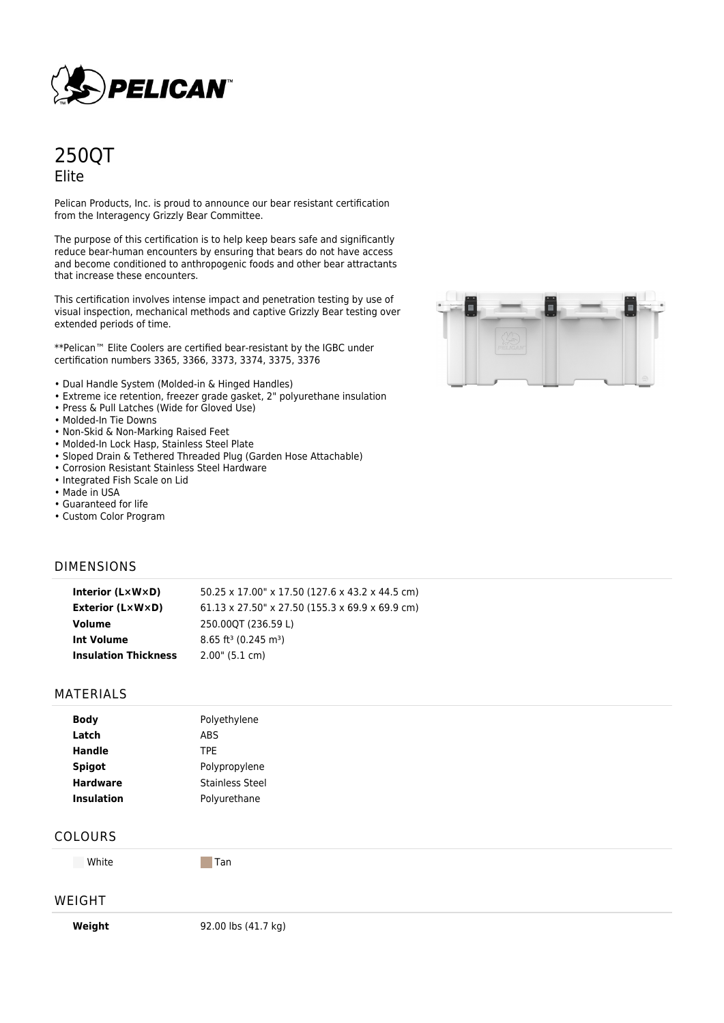

# 250QT Elite

Pelican Products, Inc. is proud to announce our bear resistant certification from the Interagency Grizzly Bear Committee.

The purpose of this certification is to help keep bears safe and significantly reduce bear-human encounters by ensuring that bears do not have access and become conditioned to anthropogenic foods and other bear attractants that increase these encounters.

This certification involves intense impact and penetration testing by use of visual inspection, mechanical methods and captive Grizzly Bear testing over extended periods of time.

\*\*Pelican™ Elite Coolers are certified bear-resistant by the IGBC under certification numbers 3365, 3366, 3373, 3374, 3375, 3376

- Dual Handle System (Molded-in & Hinged Handles)
- Extreme ice retention, freezer grade gasket, 2" polyurethane insulation
- Press & Pull Latches (Wide for Gloved Use)
- Molded-In Tie Downs
- Non-Skid & Non-Marking Raised Feet
- Molded-In Lock Hasp, Stainless Steel Plate
- Sloped Drain & Tethered Threaded Plug (Garden Hose Attachable)
- Corrosion Resistant Stainless Steel Hardware
- Integrated Fish Scale on Lid
- Made in USA
- Guaranteed for life
- Custom Color Program

# DIMENSIONS

| Interior $(L \times W \times D)$ | 50.25 x 17.00" x 17.50 (127.6 x 43.2 x 44.5 cm)         |
|----------------------------------|---------------------------------------------------------|
| Exterior (L×W×D)                 | $61.13 \times 27.50$ " x 27.50 (155.3 x 69.9 x 69.9 cm) |
| Volume                           | 250.000T (236.59 L)                                     |
| Int Volume                       | $8.65$ ft <sup>3</sup> (0.245 m <sup>3</sup> )          |
| <b>Insulation Thickness</b>      | $2.00$ " (5.1 cm)                                       |

## MATERIALS

| Polyethylene           |
|------------------------|
| <b>ABS</b>             |
| <b>TPE</b>             |
| Polypropylene          |
| <b>Stainless Steel</b> |
| Polyurethane           |
|                        |

#### COLOURS

White Tan

## WEIGHT